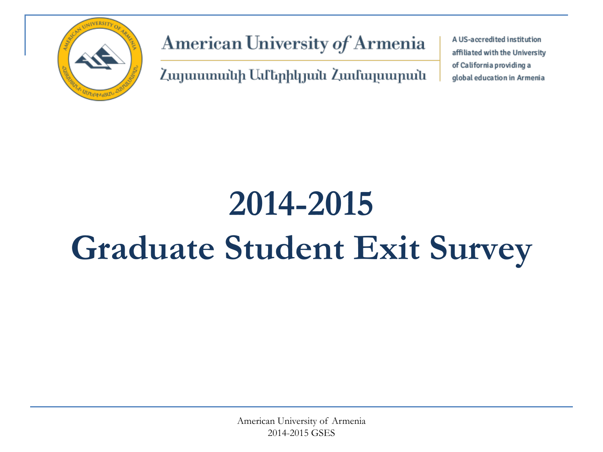

American University of Armenia

Հայաստանի Ամերիկյան Համալսարան

A US-accredited institution affiliated with the University of California providing a global education in Armenia

# **2014-2015 Graduate Student Exit Survey**

American University of Armenia 2014-2015 GSES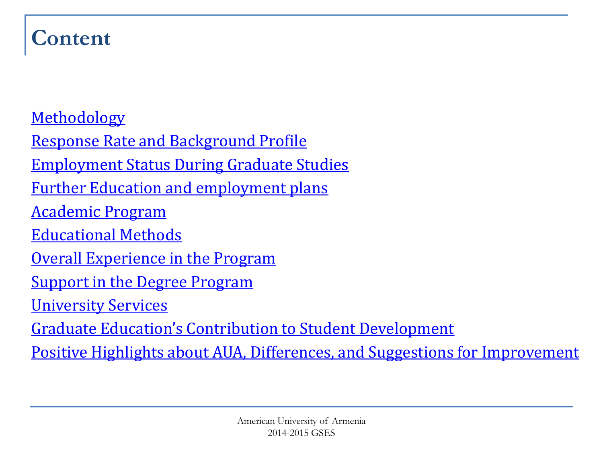#### **Content**

**[Methodology](#page-2-0)** 

[Response Rate and Background Profile](#page-3-0) [Employment Status During Graduate Studies](#page-6-0) [Further Education and employment plans](#page-8-0) [Academic Program](#page-10-0) [Educational Methods](#page-12-0) [Overall Experience in the Program](#page-15-0) [Support in the Degree Program](#page-16-0) [University Services](#page-17-0) [Graduate Education's Contribution to Student Development](#page-19-0) [Positive Highlights about AUA, Differences, and Suggestions for Improvement](#page-20-0)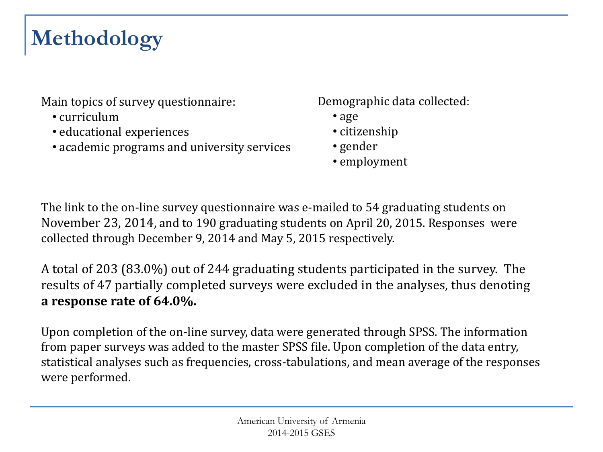# **Methodology**

Main topics of survey questionnaire:

- curriculum
- educational experiences
- academic programs and university services

Demographic data collected:

- age
- citizenship
- gender
- employment

The link to the on-line survey questionnaire was e-mailed to 54 graduating students on November 23, 2014, and to 190 graduating students on April 20, 2015. Responses were collected through December 9, 2014 and May 5, 2015 respectively.

A total of 203 (83.0%) out of 244 graduating students participated in the survey. The results of 47 partially completed surveys were excluded in the analyses, thus denoting **a response rate of 64.0%.**

<span id="page-2-0"></span>Upon completion of the on-line survey, data were generated through SPSS. The information from paper surveys was added to the master SPSS file. Upon completion of the data entry, statistical analyses such as frequencies, cross-tabulations, and mean average of the responses were performed.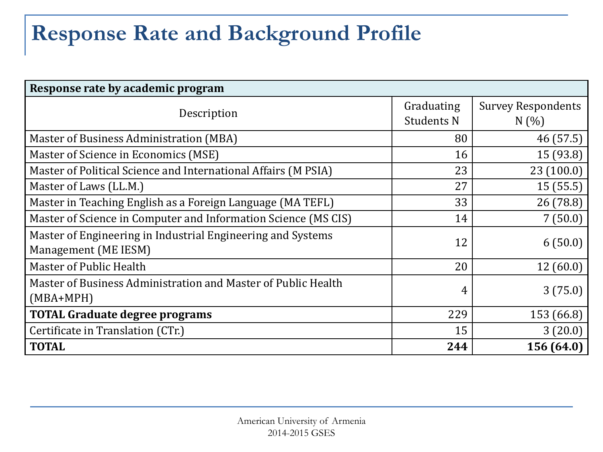# **Response Rate and Background Profile**

<span id="page-3-0"></span>

| Response rate by academic program                              |                   |                           |  |  |  |  |  |
|----------------------------------------------------------------|-------------------|---------------------------|--|--|--|--|--|
| Description                                                    | Graduating        | <b>Survey Respondents</b> |  |  |  |  |  |
|                                                                | <b>Students N</b> | N(%                       |  |  |  |  |  |
| Master of Business Administration (MBA)                        | 80                | 46 (57.5)                 |  |  |  |  |  |
| Master of Science in Economics (MSE)                           | 16                | 15(93.8)                  |  |  |  |  |  |
| Master of Political Science and International Affairs (M PSIA) | 23                | 23(100.0)                 |  |  |  |  |  |
| Master of Laws (LL.M.)                                         | 27                | 15(55.5)                  |  |  |  |  |  |
| Master in Teaching English as a Foreign Language (MA TEFL)     | 33                | 26(78.8)                  |  |  |  |  |  |
| Master of Science in Computer and Information Science (MS CIS) | 14                | 7(50.0)                   |  |  |  |  |  |
| Master of Engineering in Industrial Engineering and Systems    | 12                | 6(50.0)                   |  |  |  |  |  |
| Management (ME IESM)                                           |                   |                           |  |  |  |  |  |
| Master of Public Health                                        | 20                | 12(60.0)                  |  |  |  |  |  |
| Master of Business Administration and Master of Public Health  | 4                 | 3(75.0)                   |  |  |  |  |  |
| $(MBA+MPH)$                                                    |                   |                           |  |  |  |  |  |
| <b>TOTAL Graduate degree programs</b>                          | 229               | 153 (66.8)                |  |  |  |  |  |
| Certificate in Translation (CTr.)                              | 15                | 3(20.0)                   |  |  |  |  |  |
| <b>TOTAL</b>                                                   | 244               | 156 (64.0)                |  |  |  |  |  |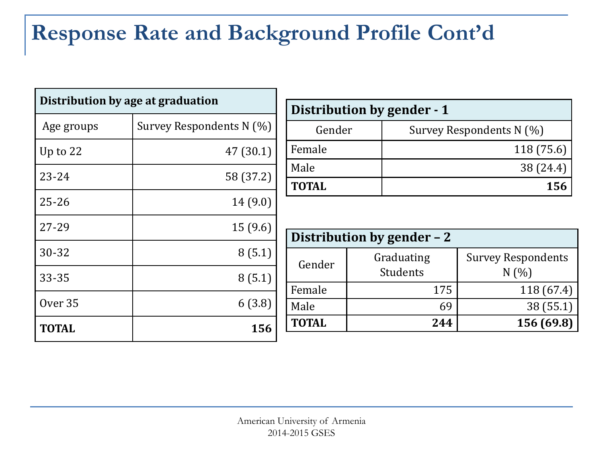# **Response Rate and Background Profile Cont'd**

| Distribution by age at graduation |                          |  |  |  |  |
|-----------------------------------|--------------------------|--|--|--|--|
| Age groups                        | Survey Respondents N (%) |  |  |  |  |
| Up to 22                          | 47 (30.1)                |  |  |  |  |
| $23 - 24$                         | 58 (37.2)                |  |  |  |  |
| $25 - 26$                         | 14(9.0)                  |  |  |  |  |
| 27-29                             | 15(9.6)                  |  |  |  |  |
| 30-32                             | 8(5.1)                   |  |  |  |  |
| 33-35                             | 8(5.1)                   |  |  |  |  |
| Over 35                           | 6(3.8)                   |  |  |  |  |
| <b>TOTAL</b>                      | 156                      |  |  |  |  |

| Distribution by gender - 1 |                          |  |  |  |  |
|----------------------------|--------------------------|--|--|--|--|
| Gender                     | Survey Respondents N (%) |  |  |  |  |
| Female                     | 118 (75.6)               |  |  |  |  |
| Male                       | 38 (24.4)                |  |  |  |  |
| <b>TOTAL</b>               | 156                      |  |  |  |  |

| Distribution by gender - 2 |                        |                                  |  |  |  |  |  |  |
|----------------------------|------------------------|----------------------------------|--|--|--|--|--|--|
| Gender                     | Graduating<br>Students | <b>Survey Respondents</b><br>N(% |  |  |  |  |  |  |
| Female                     | 175                    | 118(67.4)                        |  |  |  |  |  |  |
| Male                       | 69                     | 38 (55.1)                        |  |  |  |  |  |  |
| <b>TOTAL</b>               | 244                    | 156 (69.8)                       |  |  |  |  |  |  |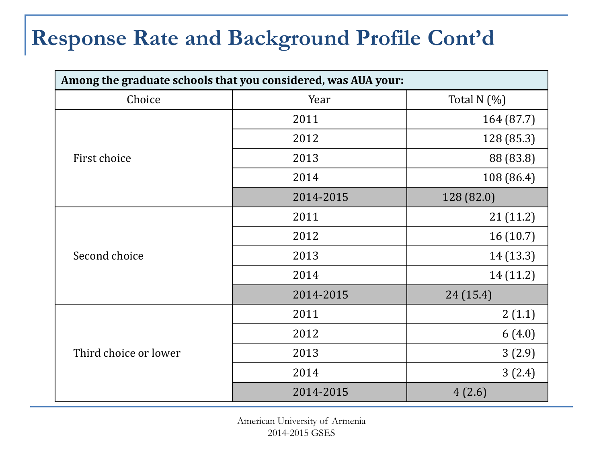## **Response Rate and Background Profile Cont'd**

| Among the graduate schools that you considered, was AUA your: |           |               |  |  |  |  |  |
|---------------------------------------------------------------|-----------|---------------|--|--|--|--|--|
| Choice                                                        | Year      | Total N $(%)$ |  |  |  |  |  |
|                                                               | 2011      | 164 (87.7)    |  |  |  |  |  |
|                                                               | 2012      | 128 (85.3)    |  |  |  |  |  |
| First choice                                                  | 2013      | 88 (83.8)     |  |  |  |  |  |
|                                                               | 2014      | 108 (86.4)    |  |  |  |  |  |
|                                                               | 2014-2015 | 128 (82.0)    |  |  |  |  |  |
|                                                               | 2011      | 21(11.2)      |  |  |  |  |  |
|                                                               | 2012      | 16(10.7)      |  |  |  |  |  |
| Second choice                                                 | 2013      | 14 (13.3)     |  |  |  |  |  |
|                                                               | 2014      | 14 (11.2)     |  |  |  |  |  |
|                                                               | 2014-2015 | 24(15.4)      |  |  |  |  |  |
|                                                               | 2011      | 2(1.1)        |  |  |  |  |  |
|                                                               | 2012      | 6(4.0)        |  |  |  |  |  |
| Third choice or lower                                         | 2013      | 3(2.9)        |  |  |  |  |  |
|                                                               | 2014      | 3(2.4)        |  |  |  |  |  |
|                                                               | 2014-2015 | 4(2.6)        |  |  |  |  |  |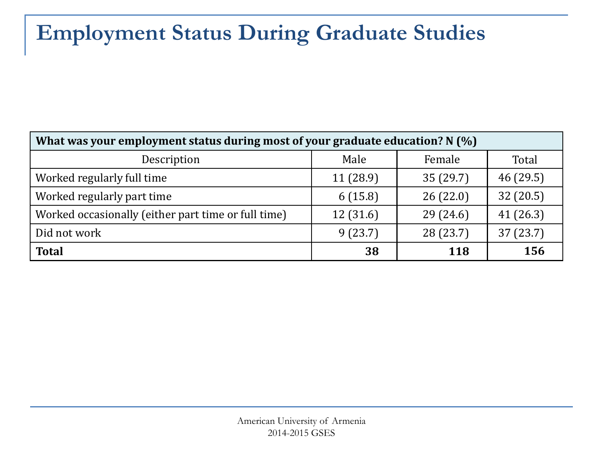# **Employment Status During Graduate Studies**

<span id="page-6-0"></span>

| What was your employment status during most of your graduate education? N (%) |          |           |           |  |  |  |  |  |  |
|-------------------------------------------------------------------------------|----------|-----------|-----------|--|--|--|--|--|--|
| Description                                                                   | Male     | Female    | Total     |  |  |  |  |  |  |
| Worked regularly full time                                                    | 11(28.9) | 35(29.7)  | 46(29.5)  |  |  |  |  |  |  |
| Worked regularly part time                                                    | 6(15.8)  | 26(22.0)  | 32(20.5)  |  |  |  |  |  |  |
| Worked occasionally (either part time or full time)                           | 12(31.6) | 29(24.6)  | 41(26.3)  |  |  |  |  |  |  |
| Did not work                                                                  | 9(23.7)  | 28 (23.7) | 37 (23.7) |  |  |  |  |  |  |
| <b>Total</b>                                                                  | 38       | 118       | 156       |  |  |  |  |  |  |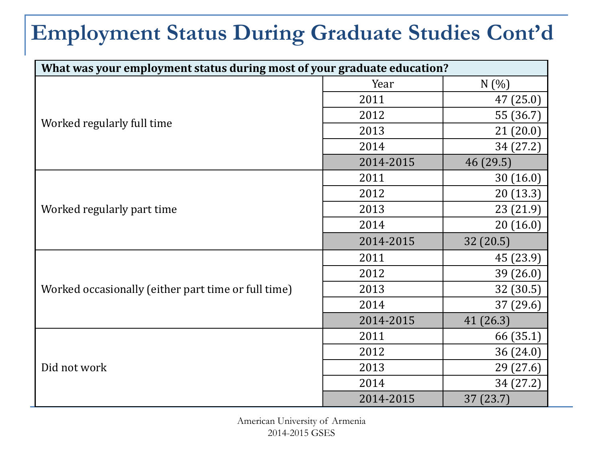# **Employment Status During Graduate Studies Cont'd**

| What was your employment status during most of your graduate education? |           |           |  |  |  |  |  |  |
|-------------------------------------------------------------------------|-----------|-----------|--|--|--|--|--|--|
|                                                                         | Year      | N(%)      |  |  |  |  |  |  |
|                                                                         | 2011      | 47 (25.0) |  |  |  |  |  |  |
|                                                                         | 2012      | 55 (36.7) |  |  |  |  |  |  |
| Worked regularly full time                                              | 2013      | 21(20.0)  |  |  |  |  |  |  |
|                                                                         | 2014      | 34 (27.2) |  |  |  |  |  |  |
|                                                                         | 2014-2015 | 46(29.5)  |  |  |  |  |  |  |
|                                                                         | 2011      | 30(16.0)  |  |  |  |  |  |  |
|                                                                         | 2012      | 20(13.3)  |  |  |  |  |  |  |
| Worked regularly part time                                              | 2013      | 23 (21.9) |  |  |  |  |  |  |
|                                                                         | 2014      | 20(16.0)  |  |  |  |  |  |  |
|                                                                         | 2014-2015 | 32 (20.5) |  |  |  |  |  |  |
|                                                                         | 2011      | 45 (23.9) |  |  |  |  |  |  |
|                                                                         | 2012      | 39(26.0)  |  |  |  |  |  |  |
| Worked occasionally (either part time or full time)                     | 2013      | 32 (30.5) |  |  |  |  |  |  |
|                                                                         |           |           |  |  |  |  |  |  |
|                                                                         | 2014      | 37(29.6)  |  |  |  |  |  |  |
|                                                                         | 2014-2015 | 41(26.3)  |  |  |  |  |  |  |
|                                                                         | 2011      | 66 (35.1) |  |  |  |  |  |  |
|                                                                         | 2012      | 36 (24.0) |  |  |  |  |  |  |
| Did not work                                                            | 2013      | 29 (27.6) |  |  |  |  |  |  |
|                                                                         | 2014      | 34 (27.2) |  |  |  |  |  |  |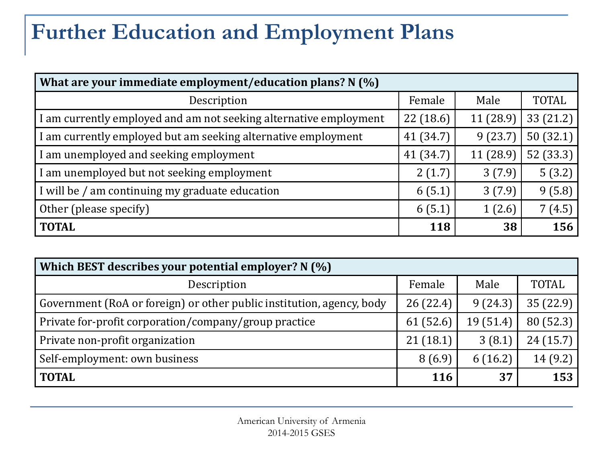# **Further Education and Employment Plans**

| What are your immediate employment/education plans? N (%)         |           |           |              |  |  |  |  |  |
|-------------------------------------------------------------------|-----------|-----------|--------------|--|--|--|--|--|
| Description                                                       | Female    | Male      | <b>TOTAL</b> |  |  |  |  |  |
| I am currently employed and am not seeking alternative employment | 22(18.6)  | 11(28.9)  | 33 (21.2)    |  |  |  |  |  |
| I am currently employed but am seeking alternative employment     | 41 (34.7) | 9(23.7)   | 50(32.1)     |  |  |  |  |  |
| I am unemployed and seeking employment                            | 41 (34.7) | 11 (28.9) | 52(33.3)     |  |  |  |  |  |
| I am unemployed but not seeking employment                        | 2(1.7)    | 3(7.9)    | 5(3.2)       |  |  |  |  |  |
| I will be / am continuing my graduate education                   | 6(5.1)    | 3(7.9)    | 9(5.8)       |  |  |  |  |  |
| Other (please specify)                                            | 6(5.1)    | 1(2.6)    | 7(4.5)       |  |  |  |  |  |
| <b>TOTAL</b>                                                      | 118       | 38        | 156          |  |  |  |  |  |

<span id="page-8-0"></span>

| Which BEST describes your potential employer? N (%)                   |            |          |              |  |  |  |  |  |  |
|-----------------------------------------------------------------------|------------|----------|--------------|--|--|--|--|--|--|
| Description                                                           | Female     | Male     | <b>TOTAL</b> |  |  |  |  |  |  |
| Government (RoA or foreign) or other public institution, agency, body | 26(22.4)   | 9(24.3)  | 35(22.9)     |  |  |  |  |  |  |
| Private for-profit corporation/company/group practice                 | 61(52.6)   | 19(51.4) | 80(52.3)     |  |  |  |  |  |  |
| Private non-profit organization                                       | 21(18.1)   | 3(8.1)   | 24(15.7)     |  |  |  |  |  |  |
| Self-employment: own business                                         | 8(6.9)     | 6(16.2)  | 14(9.2)      |  |  |  |  |  |  |
| <b>TOTAL</b>                                                          | <b>116</b> | 37       | 153          |  |  |  |  |  |  |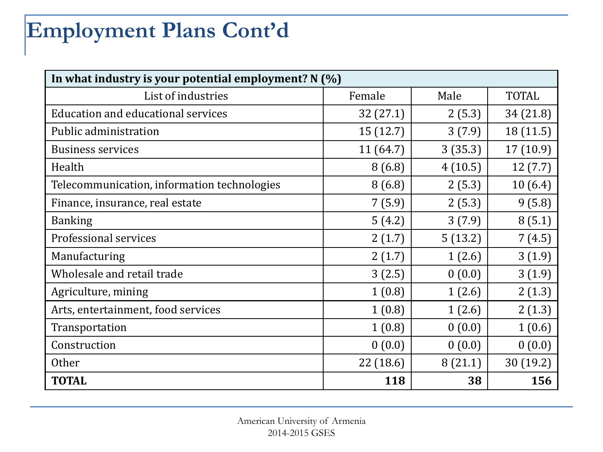# **Employment Plans Cont'd**

| In what industry is your potential employment? $N(\%)$ |           |         |              |  |  |  |  |  |
|--------------------------------------------------------|-----------|---------|--------------|--|--|--|--|--|
| List of industries                                     | Female    | Male    | <b>TOTAL</b> |  |  |  |  |  |
| Education and educational services                     | 32(27.1)  | 2(5.3)  | 34 (21.8)    |  |  |  |  |  |
| Public administration                                  | 15 (12.7) | 3(7.9)  | 18 (11.5)    |  |  |  |  |  |
| <b>Business services</b>                               | 11 (64.7) | 3(35.3) | 17 (10.9)    |  |  |  |  |  |
| Health                                                 | 8(6.8)    | 4(10.5) | 12(7.7)      |  |  |  |  |  |
| Telecommunication, information technologies            | 8(6.8)    | 2(5.3)  | 10(6.4)      |  |  |  |  |  |
| Finance, insurance, real estate                        | 7(5.9)    | 2(5.3)  | 9(5.8)       |  |  |  |  |  |
| <b>Banking</b>                                         | 5(4.2)    | 3(7.9)  | 8(5.1)       |  |  |  |  |  |
| Professional services                                  | 2(1.7)    | 5(13.2) | 7(4.5)       |  |  |  |  |  |
| Manufacturing                                          | 2(1.7)    | 1(2.6)  | 3(1.9)       |  |  |  |  |  |
| Wholesale and retail trade                             | 3(2.5)    | 0(0.0)  | 3(1.9)       |  |  |  |  |  |
| Agriculture, mining                                    | 1(0.8)    | 1(2.6)  | 2(1.3)       |  |  |  |  |  |
| Arts, entertainment, food services                     | 1(0.8)    | 1(2.6)  | 2(1.3)       |  |  |  |  |  |
| Transportation                                         | 1(0.8)    | 0(0.0)  | 1(0.6)       |  |  |  |  |  |
| Construction                                           | 0(0.0)    | 0(0.0)  | 0(0.0)       |  |  |  |  |  |
| <b>Other</b>                                           | 22 (18.6) | 8(21.1) | 30 (19.2)    |  |  |  |  |  |
| <b>TOTAL</b>                                           | 118       | 38      | 156          |  |  |  |  |  |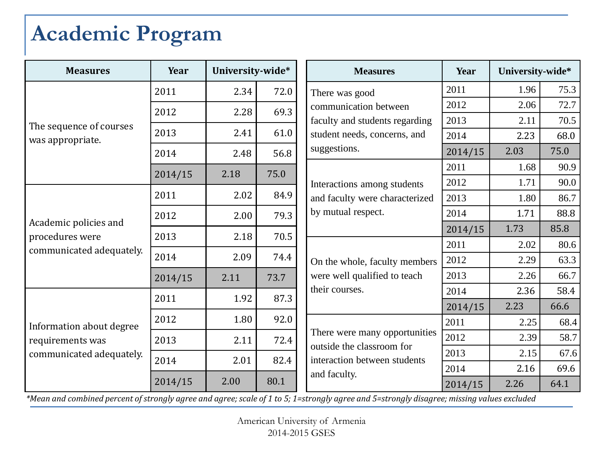## **Academic Program**

| <b>Measures</b>          | Year    | University-wide* |      | <b>Measures</b>                                            | Year    | University-wide* |      |
|--------------------------|---------|------------------|------|------------------------------------------------------------|---------|------------------|------|
|                          | 2011    | 2.34             | 72.0 | There was good                                             | 2011    | 1.96             | 75.3 |
|                          | 2012    | 2.28             | 69.3 | communication between                                      | 2012    | 2.06             | 72.7 |
| The sequence of courses  |         |                  |      | faculty and students regarding                             | 2013    | 2.11             | 70.5 |
| was appropriate.         | 2013    | 2.41             | 61.0 | student needs, concerns, and                               | 2014    | 2.23             | 68.0 |
|                          | 2014    | 2.48             | 56.8 | suggestions.                                               | 2014/15 | 2.03             | 75.0 |
|                          | 2014/15 | 2.18             | 75.0 |                                                            | 2011    | 1.68             | 90.9 |
|                          |         |                  |      | Interactions among students                                | 2012    | 1.71             | 90.0 |
|                          | 2011    | 2.02             | 84.9 | and faculty were characterized                             | 2013    | 1.80             | 86.7 |
| Academic policies and    | 2012    | 2.00             | 79.3 | by mutual respect.<br>On the whole, faculty members        | 2014    | 1.71             | 88.8 |
| procedures were          | 2013    | 2.18             | 70.5 |                                                            | 2014/15 | 1.73             | 85.8 |
| communicated adequately. |         |                  |      |                                                            | 2011    | 2.02             | 80.6 |
|                          | 2014    | 2.09             | 74.4 |                                                            | 2012    | 2.29             | 63.3 |
|                          | 2014/15 | 2.11             | 73.7 | were well qualified to teach                               | 2013    | 2.26             | 66.7 |
|                          | 2011    | 1.92             | 87.3 | their courses.                                             | 2014    | 2.36             | 58.4 |
|                          |         |                  |      |                                                            | 2014/15 | 2.23             | 66.6 |
| Information about degree | 2012    | 1.80             | 92.0 |                                                            | 2011    | 2.25             | 68.4 |
| requirements was         | 2013    | 2.11             | 72.4 | There were many opportunities<br>outside the classroom for | 2012    | 2.39             | 58.7 |
| communicated adequately. | 2014    | 2.01             | 82.4 | interaction between students                               | 2013    | 2.15             | 67.6 |
|                          |         |                  |      | and faculty.                                               | 2014    | 2.16             | 69.6 |
|                          | 2014/15 | 2.00             | 80.1 |                                                            | 2014/15 | 2.26             | 64.1 |

<span id="page-10-0"></span>*\*Mean and combined percent of strongly agree and agree; scale of 1 to 5; 1=strongly agree and 5=strongly disagree; missing values excluded*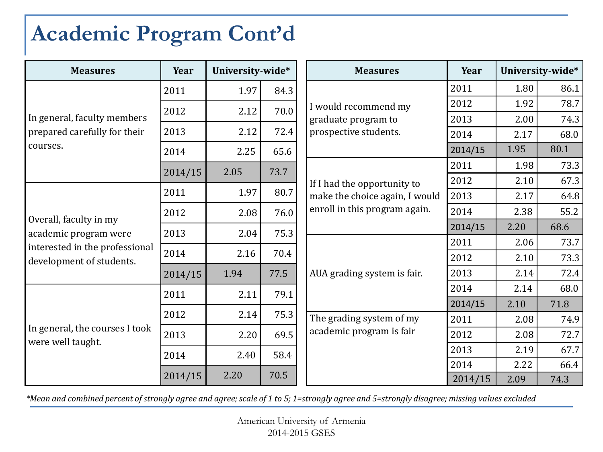### **Academic Program Cont'd**

| <b>Measures</b>                                     | Year    | University-wide* |      | <b>Measures</b>                                                 | Year    |      | University-wide* |
|-----------------------------------------------------|---------|------------------|------|-----------------------------------------------------------------|---------|------|------------------|
|                                                     | 2011    | 1.97             | 84.3 |                                                                 | 2011    | 1.80 | 86.1             |
| In general, faculty members                         | 2012    | 2.12             | 70.0 | I would recommend my                                            | 2012    | 1.92 | 78.7             |
|                                                     |         |                  |      | graduate program to                                             | 2013    | 2.00 | 74.3             |
| prepared carefully for their                        | 2013    | 2.12             | 72.4 | prospective students.                                           | 2014    | 2.17 | 68.0             |
| courses.                                            | 2014    | 2.25             | 65.6 |                                                                 | 2014/15 | 1.95 | 80.1             |
|                                                     | 2014/15 | 2.05             | 73.7 |                                                                 | 2011    | 1.98 | 73.3             |
|                                                     |         |                  |      | If I had the opportunity to                                     | 2012    | 2.10 | 67.3             |
| Overall, faculty in my<br>academic program were     | 2011    | 1.97             | 80.7 | make the choice again, I would<br>enroll in this program again. | 2013    | 2.17 | 64.8             |
|                                                     | 2012    | 2.08             | 76.0 |                                                                 | 2014    | 2.38 | 55.2             |
|                                                     | 2013    | 2.04             | 75.3 |                                                                 | 2014/15 | 2.20 | 68.6             |
| interested in the professional                      |         |                  |      |                                                                 | 2011    | 2.06 | 73.7             |
| development of students.                            | 2014    | 2.16             | 70.4 |                                                                 | 2012    | 2.10 | 73.3             |
|                                                     | 2014/15 | 1.94             | 77.5 | AUA grading system is fair.                                     | 2013    | 2.14 | 72.4             |
|                                                     | 2011    | 2.11             | 79.1 |                                                                 | 2014    | 2.14 | 68.0             |
|                                                     |         |                  |      |                                                                 | 2014/15 | 2.10 | 71.8             |
|                                                     | 2012    | 2.14             | 75.3 | The grading system of my                                        | 2011    | 2.08 | 74.9             |
| In general, the courses I took<br>were well taught. | 2013    | 2.20             | 69.5 | academic program is fair                                        | 2012    | 2.08 | 72.7             |
|                                                     | 2014    | 2.40             | 58.4 |                                                                 | 2013    | 2.19 | 67.7             |
|                                                     |         |                  |      |                                                                 | 2014    | 2.22 | 66.4             |
|                                                     | 2014/15 | 2.20             | 70.5 |                                                                 | 2014/15 | 2.09 | 74.3             |

*\*Mean and combined percent of strongly agree and agree; scale of 1 to 5; 1=strongly agree and 5=strongly disagree; missing values excluded*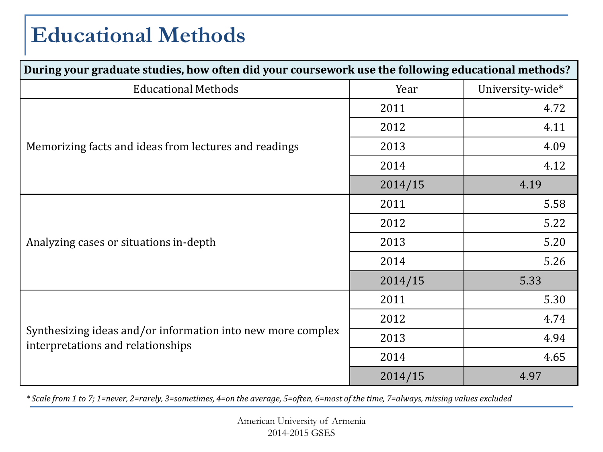## **Educational Methods**

| During your graduate studies, how often did your coursework use the following educational methods? |         |                  |  |  |  |
|----------------------------------------------------------------------------------------------------|---------|------------------|--|--|--|
| <b>Educational Methods</b>                                                                         | Year    | University-wide* |  |  |  |
|                                                                                                    | 2011    | 4.72             |  |  |  |
|                                                                                                    | 2012    | 4.11             |  |  |  |
| Memorizing facts and ideas from lectures and readings                                              | 2013    | 4.09             |  |  |  |
|                                                                                                    | 2014    | 4.12             |  |  |  |
|                                                                                                    | 2014/15 | 4.19             |  |  |  |
|                                                                                                    | 2011    | 5.58             |  |  |  |
|                                                                                                    | 2012    | 5.22             |  |  |  |
| Analyzing cases or situations in-depth                                                             | 2013    | 5.20             |  |  |  |
|                                                                                                    | 2014    | 5.26             |  |  |  |
|                                                                                                    | 2014/15 | 5.33             |  |  |  |
|                                                                                                    | 2011    | 5.30             |  |  |  |
|                                                                                                    | 2012    | 4.74             |  |  |  |
| Synthesizing ideas and/or information into new more complex<br>interpretations and relationships   | 2013    | 4.94             |  |  |  |
|                                                                                                    | 2014    | 4.65             |  |  |  |
|                                                                                                    | 2014/15 | 4.97             |  |  |  |

<span id="page-12-0"></span>*\* Scale from 1 to 7; 1=never, 2=rarely, 3=sometimes, 4=on the average, 5=often, 6=most of the time, 7=always, missing values excluded*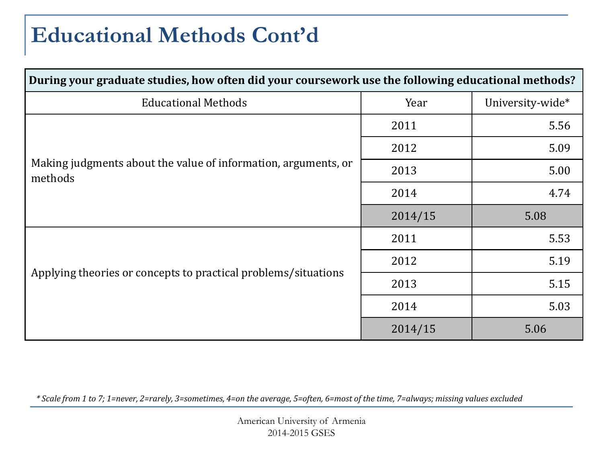#### **Educational Methods Cont'd**

| During your graduate studies, how often did your coursework use the following educational methods? |         |                  |  |  |  |
|----------------------------------------------------------------------------------------------------|---------|------------------|--|--|--|
| <b>Educational Methods</b>                                                                         | Year    | University-wide* |  |  |  |
|                                                                                                    | 2011    | 5.56             |  |  |  |
|                                                                                                    | 2012    | 5.09             |  |  |  |
| Making judgments about the value of information, arguments, or<br>methods                          | 2013    | 5.00             |  |  |  |
|                                                                                                    | 2014    | 4.74             |  |  |  |
|                                                                                                    | 2014/15 | 5.08             |  |  |  |
|                                                                                                    | 2011    | 5.53             |  |  |  |
|                                                                                                    | 2012    | 5.19             |  |  |  |
| Applying theories or concepts to practical problems/situations                                     | 2013    | 5.15             |  |  |  |
|                                                                                                    | 2014    | 5.03             |  |  |  |
|                                                                                                    | 2014/15 | 5.06             |  |  |  |

*\* Scale from 1 to 7; 1=never, 2=rarely, 3=sometimes, 4=on the average, 5=often, 6=most of the time, 7=always; missing values excluded*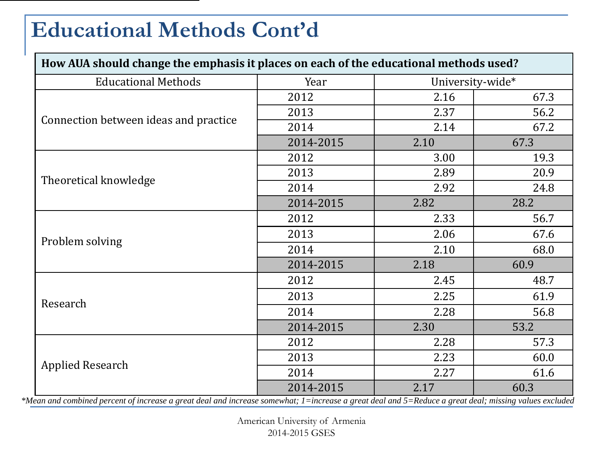#### **Educational Methods Cont'd**

| How AUA should change the emphasis it places on each of the educational methods used?                                          |           |                                     |                                   |  |  |  |
|--------------------------------------------------------------------------------------------------------------------------------|-----------|-------------------------------------|-----------------------------------|--|--|--|
| <b>Educational Methods</b>                                                                                                     | Year      | University-wide*                    |                                   |  |  |  |
|                                                                                                                                | 2012      | 2.16                                | 67.3                              |  |  |  |
|                                                                                                                                | 2013      | 2.37                                | 56.2                              |  |  |  |
| Connection between ideas and practice                                                                                          | 2014      | 2.14                                | 67.2                              |  |  |  |
|                                                                                                                                | 2014-2015 | 2.10                                | 67.3                              |  |  |  |
|                                                                                                                                | 2012      | 3.00                                | 19.3                              |  |  |  |
|                                                                                                                                | 2013      | 2.89                                | 20.9                              |  |  |  |
| Theoretical knowledge                                                                                                          | 2014      | 2.92                                | 24.8                              |  |  |  |
|                                                                                                                                | 2014-2015 | 2.82                                | 28.2                              |  |  |  |
|                                                                                                                                | 2012      | 2.33                                | 56.7                              |  |  |  |
|                                                                                                                                | 2013      | 2.06                                | 67.6                              |  |  |  |
| Problem solving                                                                                                                | 2014      | 2.10                                | 68.0                              |  |  |  |
|                                                                                                                                | 2014-2015 | 2.18                                | 60.9                              |  |  |  |
|                                                                                                                                | 2012      | 2.45                                | 48.7                              |  |  |  |
|                                                                                                                                | 2013      | 2.25                                | 61.9                              |  |  |  |
| Research                                                                                                                       | 2014      | 2.28                                | 56.8                              |  |  |  |
|                                                                                                                                | 2014-2015 | 2.30                                | 53.2                              |  |  |  |
|                                                                                                                                | 2012      | 2.28                                | 57.3                              |  |  |  |
|                                                                                                                                | 2013      | 2.23                                | 60.0                              |  |  |  |
| <b>Applied Research</b>                                                                                                        | 2014      | 2.27                                | 61.6                              |  |  |  |
| $\mathbf{1}$ $\mathbf{1}$<br>$\mathcal{L}$<br>$\mathbf{1}$ $\mathbf{1}$ $\mathbf{1}$ $\mathbf{1}$ $\mathbf{1}$<br>$\mathbf{r}$ | 2014-2015 | 2.17<br>$1 \quad 1 \quad 1 \quad 1$ | 60.3<br>$\mathbf{1}$ $\mathbf{1}$ |  |  |  |

*\*Mean and combined percent of increase a great deal and increase somewhat; 1=increase a great deal and 5=Reduce a great deal; missing values excluded*

American University of Armenia 2014-2015 GSES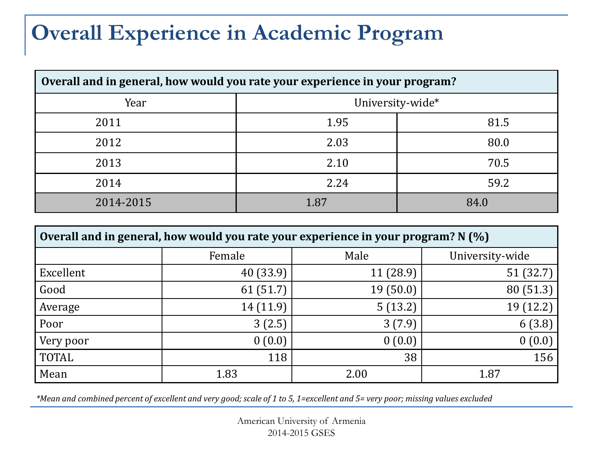#### **Overall Experience in Academic Program**

| Overall and in general, how would you rate your experience in your program? |      |      |  |  |  |  |
|-----------------------------------------------------------------------------|------|------|--|--|--|--|
| University-wide*<br>Year                                                    |      |      |  |  |  |  |
| 2011                                                                        | 1.95 | 81.5 |  |  |  |  |
| 2012                                                                        | 2.03 | 80.0 |  |  |  |  |
| 2013                                                                        | 2.10 | 70.5 |  |  |  |  |
| 2014                                                                        | 2.24 | 59.2 |  |  |  |  |
| 2014-2015                                                                   | 1.87 | 84.0 |  |  |  |  |

| Overall and in general, how would you rate your experience in your program? N (%) |           |          |                 |  |  |  |
|-----------------------------------------------------------------------------------|-----------|----------|-----------------|--|--|--|
|                                                                                   | Female    | Male     | University-wide |  |  |  |
| Excellent                                                                         | 40 (33.9) | 11(28.9) | 51(32.7)        |  |  |  |
| Good                                                                              | 61(51.7)  | 19(50.0) | 80 (51.3)       |  |  |  |
| Average                                                                           | 14 (11.9) | 5(13.2)  | 19 (12.2)       |  |  |  |
| Poor                                                                              | 3(2.5)    | 3(7.9)   | 6(3.8)          |  |  |  |
| Very poor                                                                         | 0(0.0)    | 0(0.0)   | 0(0.0)          |  |  |  |
| <b>TOTAL</b>                                                                      | 118       | 38       | 156             |  |  |  |
| Mean                                                                              | 1.83      | 2.00     | 1.87            |  |  |  |

<span id="page-15-0"></span>*\*Mean and combined percent of excellent and very good; scale of 1 to 5, 1=excellent and 5= very poor; missing values excluded*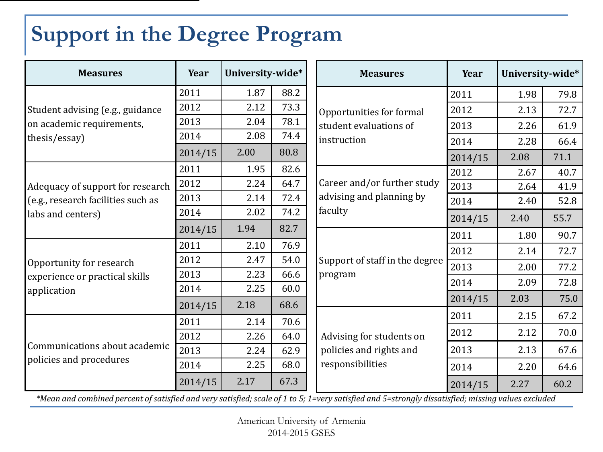# **Support in the Degree Program**

| <b>Measures</b>                                                                             | Year    | University-wide* |      | <b>Measures</b>                             | Year    | University-wide* |      |
|---------------------------------------------------------------------------------------------|---------|------------------|------|---------------------------------------------|---------|------------------|------|
| Student advising (e.g., guidance<br>on academic requirements,                               | 2011    | 1.87             | 88.2 |                                             | 2011    | 1.98             | 79.8 |
|                                                                                             | 2012    | 2.12             | 73.3 | Opportunities for formal                    | 2012    | 2.13             | 72.7 |
|                                                                                             | 2013    | 2.04             | 78.1 | student evaluations of                      | 2013    | 2.26             | 61.9 |
| thesis/essay)                                                                               | 2014    | 2.08             | 74.4 | instruction                                 | 2014    | 2.28             | 66.4 |
|                                                                                             | 2014/15 | 2.00             | 80.8 |                                             | 2014/15 | 2.08             | 71.1 |
|                                                                                             | 2011    | 1.95             | 82.6 |                                             | 2012    | 2.67             | 40.7 |
| Adequacy of support for research<br>(e.g., research facilities such as<br>labs and centers) | 2012    | 2.24             | 64.7 | Career and/or further study                 | 2013    | 2.64             | 41.9 |
|                                                                                             | 2013    | 2.14             | 72.4 | advising and planning by<br>faculty         | 2014    | 2.40             | 52.8 |
|                                                                                             | 2014    | 2.02             | 74.2 |                                             | 2014/15 | 2.40             | 55.7 |
|                                                                                             | 2014/15 | 1.94             | 82.7 |                                             | 2011    | 1.80             | 90.7 |
|                                                                                             | 2011    | 2.10             | 76.9 | Support of staff in the degree              | 2012    | 2.14             | 72.7 |
| Opportunity for research                                                                    | 2012    | 2.47             | 54.0 |                                             | 2013    | 2.00             | 77.2 |
| experience or practical skills                                                              | 2013    | 2.23             | 66.6 | program                                     | 2014    | 2.09             | 72.8 |
| application                                                                                 | 2014    | 2.25             | 60.0 |                                             | 2014/15 | 2.03             | 75.0 |
|                                                                                             | 2014/15 | 2.18             | 68.6 |                                             | 2011    | 2.15             | 67.2 |
|                                                                                             | 2011    | 2.14             | 70.6 |                                             |         |                  |      |
| Communications about academic<br>policies and procedures                                    | 2012    | 2.26             | 64.0 | Advising for students on                    | 2012    | 2.12             | 70.0 |
|                                                                                             | 2013    | 2.24             | 62.9 | policies and rights and<br>responsibilities | 2013    | 2.13             | 67.6 |
|                                                                                             | 2014    | 2.25             | 68.0 |                                             | 2014    | 2.20             | 64.6 |
|                                                                                             | 2014/15 | 2.17             | 67.3 |                                             | 2014/15 | 2.27             | 60.2 |

<span id="page-16-0"></span>*\*Mean and combined percent of satisfied and very satisfied; scale of 1 to 5; 1=very satisfied and 5=strongly dissatisfied; missing values excluded*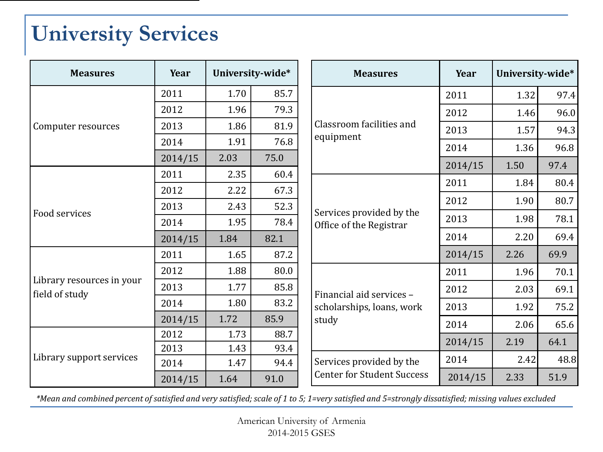### **University Services**

| <b>Measures</b>                             | Year    |      | University-wide* |  | <b>Measures</b>                                     | Year    | University-wide* |      |
|---------------------------------------------|---------|------|------------------|--|-----------------------------------------------------|---------|------------------|------|
|                                             | 2011    | 1.70 | 85.7             |  |                                                     | 2011    | 1.32             | 97.4 |
|                                             | 2012    | 1.96 | 79.3             |  | Classroom facilities and                            | 2012    | 1.46             | 96.0 |
| Computer resources                          | 2013    | 1.86 | 81.9             |  |                                                     | 2013    | 1.57             | 94.3 |
|                                             | 2014    | 1.91 | 76.8             |  | equipment                                           | 2014    | 1.36             | 96.8 |
|                                             | 2014/15 | 2.03 | 75.0             |  |                                                     | 2014/15 | 1.50             | 97.4 |
|                                             | 2011    | 2.35 | 60.4             |  |                                                     | 2011    | 1.84             | 80.4 |
| Food services                               | 2012    | 2.22 | 67.3             |  | Services provided by the<br>Office of the Registrar |         |                  |      |
|                                             | 2013    | 2.43 | 52.3             |  |                                                     | 2012    | 1.90             | 80.7 |
|                                             | 2014    | 1.95 | 78.4             |  |                                                     | 2013    | 1.98             | 78.1 |
|                                             | 2014/15 | 1.84 | 82.1             |  |                                                     | 2014    | 2.20             | 69.4 |
|                                             | 2011    | 1.65 | 87.2             |  |                                                     | 2014/15 | 2.26             | 69.9 |
|                                             | 2012    | 1.88 | 80.0             |  |                                                     | 2011    | 1.96             | 70.1 |
| Library resources in your<br>field of study | 2013    | 1.77 | 85.8             |  | Financial aid services -                            | 2012    | 2.03             | 69.1 |
|                                             | 2014    | 1.80 | 83.2             |  | scholarships, loans, work                           | 2013    | 1.92             | 75.2 |
|                                             | 2014/15 | 1.72 | 85.9             |  | study                                               | 2014    | 2.06             | 65.6 |
|                                             | 2012    | 1.73 | 88.7             |  |                                                     |         |                  |      |
|                                             | 2013    | 1.43 | 93.4             |  |                                                     | 2014/15 | 2.19             | 64.1 |
| Library support services                    | 2014    | 1.47 | 94.4             |  | Services provided by the                            | 2014    | 2.42             | 48.8 |
|                                             | 2014/15 | 1.64 | 91.0             |  | <b>Center for Student Success</b>                   | 2014/15 | 2.33             | 51.9 |

<span id="page-17-0"></span>*\*Mean and combined percent of satisfied and very satisfied; scale of 1 to 5; 1=very satisfied and 5=strongly dissatisfied; missing values excluded*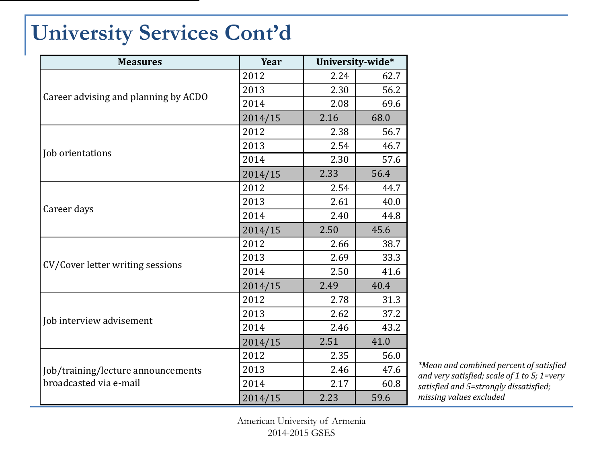### **University Services Cont'd**

| <b>Measures</b>                                                                                                                         | Year    |      | University-wide* |
|-----------------------------------------------------------------------------------------------------------------------------------------|---------|------|------------------|
|                                                                                                                                         | 2012    | 2.24 | 62.7             |
|                                                                                                                                         | 2013    | 2.30 | 56.2             |
|                                                                                                                                         | 2014    | 2.08 | 69.6             |
| Career advising and planning by ACDO<br>Job orientations<br>Career days<br>CV/Cover letter writing sessions<br>Job interview advisement | 2014/15 | 2.16 | 68.0             |
|                                                                                                                                         | 2012    | 2.38 | 56.7             |
|                                                                                                                                         | 2013    | 2.54 | 46.7             |
|                                                                                                                                         | 2014    | 2.30 | 57.6             |
|                                                                                                                                         | 2014/15 | 2.33 | 56.4             |
|                                                                                                                                         | 2012    | 2.54 | 44.7             |
|                                                                                                                                         | 2013    | 2.61 | 40.0             |
|                                                                                                                                         | 2014    | 2.40 | 44.8             |
|                                                                                                                                         | 2014/15 | 2.50 | 45.6             |
|                                                                                                                                         | 2012    | 2.66 | 38.7             |
|                                                                                                                                         | 2013    | 2.69 | 33.3             |
|                                                                                                                                         | 2014    | 2.50 | 41.6             |
|                                                                                                                                         | 2014/15 | 2.49 | 40.4             |
|                                                                                                                                         | 2012    | 2.78 | 31.3             |
|                                                                                                                                         | 2013    | 2.62 | 37.2             |
|                                                                                                                                         | 2014    | 2.46 | 43.2             |
|                                                                                                                                         | 2014/15 | 2.51 | 41.0             |
|                                                                                                                                         | 2012    | 2.35 | 56.0             |
| Job/training/lecture announcements                                                                                                      | 2013    | 2.46 | 47.6             |
| broadcasted via e-mail                                                                                                                  | 2014    | 2.17 | 60.8             |
|                                                                                                                                         | 2014/15 | 2.23 | 59.6             |

*\*Mean and combined percent of satisfied and very satisfied; scale of 1 to 5; 1=very satisfied and 5=strongly dissatisfied; missing values excluded*

American University of Armenia 2014-2015 GSES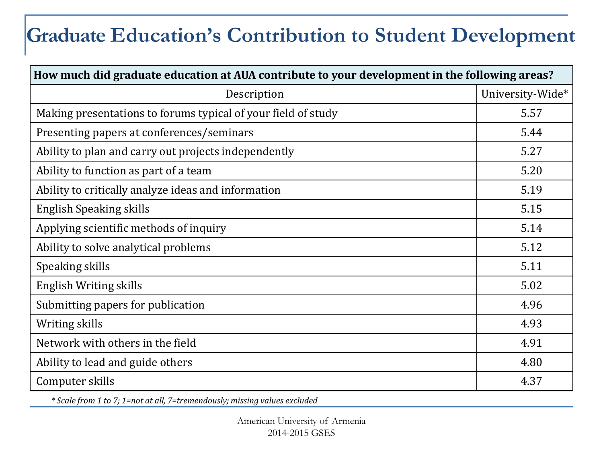#### **Graduate Education's Contribution to Student Development**

| How much did graduate education at AUA contribute to your development in the following areas? |                  |
|-----------------------------------------------------------------------------------------------|------------------|
| Description                                                                                   | University-Wide* |
| Making presentations to forums typical of your field of study                                 | 5.57             |
| Presenting papers at conferences/seminars                                                     | 5.44             |
| Ability to plan and carry out projects independently                                          | 5.27             |
| Ability to function as part of a team                                                         | 5.20             |
| Ability to critically analyze ideas and information                                           | 5.19             |
| <b>English Speaking skills</b>                                                                | 5.15             |
| Applying scientific methods of inquiry                                                        | 5.14             |
| Ability to solve analytical problems                                                          | 5.12             |
| Speaking skills                                                                               | 5.11             |
| English Writing skills                                                                        | 5.02             |
| Submitting papers for publication                                                             | 4.96             |
| Writing skills                                                                                | 4.93             |
| Network with others in the field                                                              | 4.91             |
| Ability to lead and guide others                                                              | 4.80             |
| Computer skills                                                                               | 4.37             |

<span id="page-19-0"></span>*\* Scale from 1 to 7; 1=not at all, 7=tremendously; missing values excluded*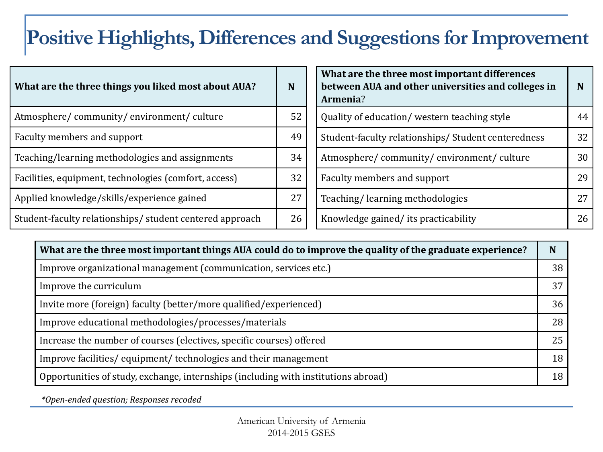#### **Positive Highlights, Differences and Suggestions for Improvement**

| What are the three things you liked most about AUA?     | N  | What are the three most important differences<br>between AUA and other universities and colleges in<br>Armenia? | N  |
|---------------------------------------------------------|----|-----------------------------------------------------------------------------------------------------------------|----|
| Atmosphere/community/environment/culture                | 52 | Quality of education/ western teaching style                                                                    | 44 |
| Faculty members and support                             | 49 | Student-faculty relationships/ Student centeredness                                                             | 32 |
| Teaching/learning methodologies and assignments         | 34 | Atmosphere/community/environment/culture                                                                        | 30 |
| Facilities, equipment, technologies (comfort, access)   | 32 | Faculty members and support                                                                                     | 29 |
| Applied knowledge/skills/experience gained              | 27 | Teaching/learning methodologies                                                                                 | 27 |
| Student-faculty relationships/student centered approach | 26 | Knowledge gained/its practicability                                                                             | 26 |

| What are the three most important things AUA could do to improve the quality of the graduate experience? | N  |
|----------------------------------------------------------------------------------------------------------|----|
| Improve organizational management (communication, services etc.)                                         | 38 |
| Improve the curriculum                                                                                   | 37 |
| Invite more (foreign) faculty (better/more qualified/experienced)                                        | 36 |
| Improve educational methodologies/processes/materials                                                    | 28 |
| Increase the number of courses (electives, specific courses) offered                                     | 25 |
| Improve facilities/equipment/technologies and their management                                           | 18 |
| Opportunities of study, exchange, internships (including with institutions abroad)                       | 18 |

<span id="page-20-0"></span>*\*Open-ended question; Responses recoded*